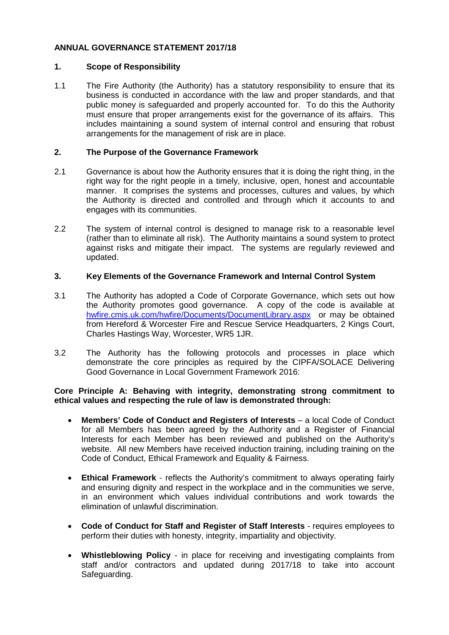# **ANNUAL GOVERNANCE STATEMENT 2017/18**

# **1. Scope of Responsibility**

1.1 The Fire Authority (the Authority) has a statutory responsibility to ensure that its business is conducted in accordance with the law and proper standards, and that public money is safeguarded and properly accounted for. To do this the Authority must ensure that proper arrangements exist for the governance of its affairs. This includes maintaining a sound system of internal control and ensuring that robust arrangements for the management of risk are in place.

# **2. The Purpose of the Governance Framework**

- 2.1 Governance is about how the Authority ensures that it is doing the right thing, in the right way for the right people in a timely, inclusive, open, honest and accountable manner. It comprises the systems and processes, cultures and values, by which the Authority is directed and controlled and through which it accounts to and engages with its communities.
- 2.2 The system of internal control is designed to manage risk to a reasonable level (rather than to eliminate all risk). The Authority maintains a sound system to protect against risks and mitigate their impact. The systems are regularly reviewed and updated.

# **3. Key Elements of the Governance Framework and Internal Control System**

- 3.1 The Authority has adopted a Code of Corporate Governance, which sets out how the Authority promotes good governance. A copy of the code is available at [hwfire.cmis.uk.com/hwfire/Documents/DocumentLibrary.aspx](https://hwfire.cmis.uk.com/hwfire/Documents/DocumentLibrary.aspx) or may be obtained from Hereford & Worcester Fire and Rescue Service Headquarters, 2 Kings Court, Charles Hastings Way, Worcester, WR5 1JR.
- 3.2 The Authority has the following protocols and processes in place which demonstrate the core principles as required by the CIPFA/SOLACE Delivering Good Governance in Local Government Framework 2016:

## **Core Principle A: Behaving with integrity, demonstrating strong commitment to ethical values and respecting the rule of law is demonstrated through:**

- **Members' Code of Conduct and Registers of Interests** a local Code of Conduct for all Members has been agreed by the Authority and a Register of Financial Interests for each Member has been reviewed and published on the Authority's website. All new Members have received induction training, including training on the Code of Conduct, Ethical Framework and Equality & Fairness.
- **Ethical Framework**  reflects the Authority's commitment to always operating fairly and ensuring dignity and respect in the workplace and in the communities we serve, in an environment which values individual contributions and work towards the elimination of unlawful discrimination.
- **Code of Conduct for Staff and Register of Staff Interests** requires employees to perform their duties with honesty, integrity, impartiality and objectivity.
- **Whistleblowing Policy** in place for receiving and investigating complaints from staff and/or contractors and updated during 2017/18 to take into account Safeguarding.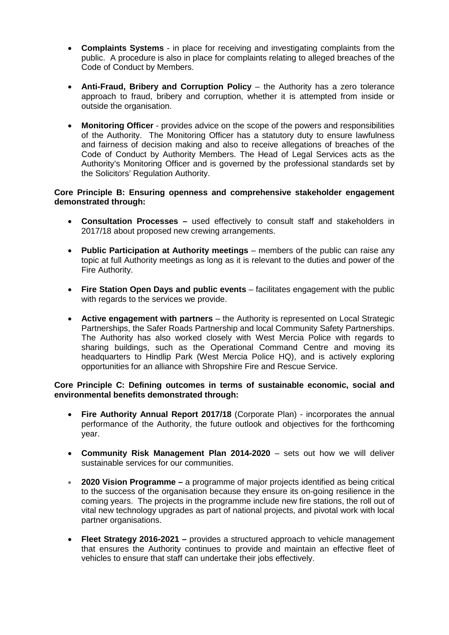- **Complaints Systems** in place for receiving and investigating complaints from the public. A procedure is also in place for complaints relating to alleged breaches of the Code of Conduct by Members.
- **Anti-Fraud, Bribery and Corruption Policy** the Authority has a zero tolerance approach to fraud, bribery and corruption, whether it is attempted from inside or outside the organisation.
- **Monitoring Officer** provides advice on the scope of the powers and responsibilities of the Authority. The Monitoring Officer has a statutory duty to ensure lawfulness and fairness of decision making and also to receive allegations of breaches of the Code of Conduct by Authority Members. The Head of Legal Services acts as the Authority's Monitoring Officer and is governed by the professional standards set by the Solicitors' Regulation Authority.

# **Core Principle B: Ensuring openness and comprehensive stakeholder engagement demonstrated through:**

- **Consultation Processes –** used effectively to consult staff and stakeholders in 2017/18 about proposed new crewing arrangements.
- **Public Participation at Authority meetings** members of the public can raise any topic at full Authority meetings as long as it is relevant to the duties and power of the Fire Authority.
- **Fire Station Open Days and public events** facilitates engagement with the public with regards to the services we provide.
- **Active engagement with partners** the Authority is represented on Local Strategic Partnerships, the Safer Roads Partnership and local Community Safety Partnerships. The Authority has also worked closely with West Mercia Police with regards to sharing buildings, such as the Operational Command Centre and moving its headquarters to Hindlip Park (West Mercia Police HQ), and is actively exploring opportunities for an alliance with Shropshire Fire and Rescue Service.

## **Core Principle C: Defining outcomes in terms of sustainable economic, social and environmental benefits demonstrated through:**

- **Fire Authority Annual Report 2017/18** (Corporate Plan) incorporates the annual performance of the Authority, the future outlook and objectives for the forthcoming year.
- **Community Risk Management Plan 2014-2020** sets out how we will deliver sustainable services for our communities.
- **2020 Vision Programme –** a programme of major projects identified as being critical to the success of the organisation because they ensure its on-going resilience in the coming years. The projects in the programme include new fire stations, the roll out of vital new technology upgrades as part of national projects, and pivotal work with local partner organisations.
- **Fleet Strategy 2016-2021 –** provides a structured approach to vehicle management that ensures the Authority continues to provide and maintain an effective fleet of vehicles to ensure that staff can undertake their jobs effectively.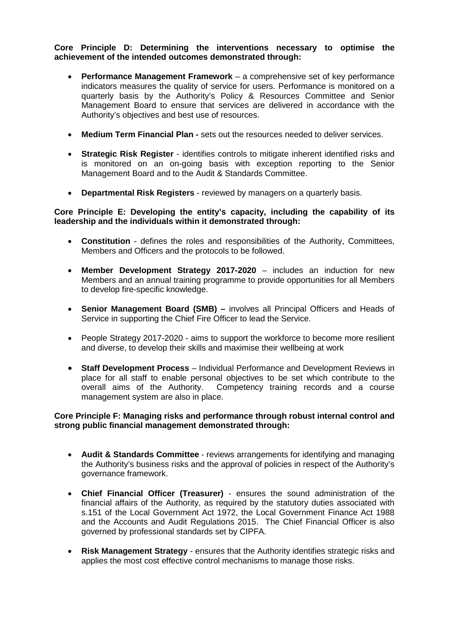# **Core Principle D: Determining the interventions necessary to optimise the achievement of the intended outcomes demonstrated through:**

- **Performance Management Framework** a comprehensive set of key performance indicators measures the quality of service for users. Performance is monitored on a quarterly basis by the Authority's Policy & Resources Committee and Senior Management Board to ensure that services are delivered in accordance with the Authority's objectives and best use of resources.
- **Medium Term Financial Plan -** sets out the resources needed to deliver services.
- **Strategic Risk Register** identifies controls to mitigate inherent identified risks and is monitored on an on-going basis with exception reporting to the Senior Management Board and to the Audit & Standards Committee.
- **Departmental Risk Registers** reviewed by managers on a quarterly basis.

## **Core Principle E: Developing the entity's capacity, including the capability of its leadership and the individuals within it demonstrated through:**

- **Constitution** defines the roles and responsibilities of the Authority, Committees, Members and Officers and the protocols to be followed.
- **Member Development Strategy 2017-2020** includes an induction for new Members and an annual training programme to provide opportunities for all Members to develop fire-specific knowledge.
- **Senior Management Board (SMB) –** involves all Principal Officers and Heads of Service in supporting the Chief Fire Officer to lead the Service.
- People Strategy 2017-2020 aims to support the workforce to become more resilient and diverse, to develop their skills and maximise their wellbeing at work
- **Staff Development Process** Individual Performance and Development Reviews in place for all staff to enable personal objectives to be set which contribute to the overall aims of the Authority. Competency training records and a course management system are also in place.

## **Core Principle F: Managing risks and performance through robust internal control and strong public financial management demonstrated through:**

- **Audit & Standards Committee** reviews arrangements for identifying and managing the Authority's business risks and the approval of policies in respect of the Authority's governance framework.
- **Chief Financial Officer (Treasurer)** ensures the sound administration of the financial affairs of the Authority, as required by the statutory duties associated with s.151 of the Local Government Act 1972, the Local Government Finance Act 1988 and the Accounts and Audit Regulations 2015. The Chief Financial Officer is also governed by professional standards set by CIPFA.
- **Risk Management Strategy** ensures that the Authority identifies strategic risks and applies the most cost effective control mechanisms to manage those risks.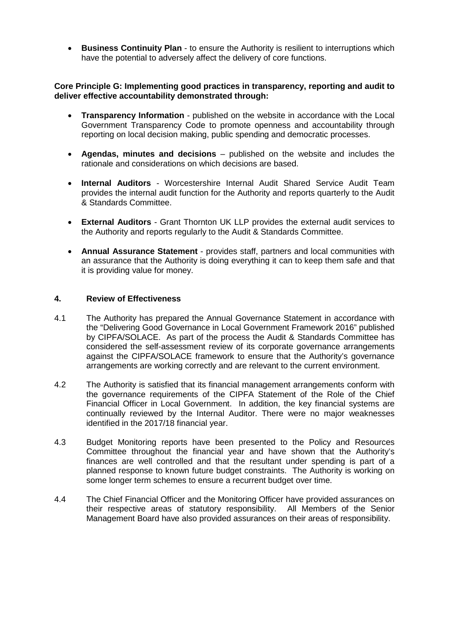• **Business Continuity Plan** - to ensure the Authority is resilient to interruptions which have the potential to adversely affect the delivery of core functions.

## **Core Principle G: Implementing good practices in transparency, reporting and audit to deliver effective accountability demonstrated through:**

- **Transparency Information** published on the website in accordance with the Local Government Transparency Code to promote openness and accountability through reporting on local decision making, public spending and democratic processes.
- **Agendas, minutes and decisions** published on the website and includes the rationale and considerations on which decisions are based.
- **Internal Auditors** Worcestershire Internal Audit Shared Service Audit Team provides the internal audit function for the Authority and reports quarterly to the Audit & Standards Committee.
- **External Auditors**  Grant Thornton UK LLP provides the external audit services to the Authority and reports regularly to the Audit & Standards Committee.
- **Annual Assurance Statement** provides staff, partners and local communities with an assurance that the Authority is doing everything it can to keep them safe and that it is providing value for money.

## **4. Review of Effectiveness**

- 4.1 The Authority has prepared the Annual Governance Statement in accordance with the "Delivering Good Governance in Local Government Framework 2016" published by CIPFA/SOLACE. As part of the process the Audit & Standards Committee has considered the self-assessment review of its corporate governance arrangements against the CIPFA/SOLACE framework to ensure that the Authority's governance arrangements are working correctly and are relevant to the current environment.
- 4.2 The Authority is satisfied that its financial management arrangements conform with the governance requirements of the CIPFA Statement of the Role of the Chief Financial Officer in Local Government. In addition, the key financial systems are continually reviewed by the Internal Auditor. There were no major weaknesses identified in the 2017/18 financial year.
- 4.3 Budget Monitoring reports have been presented to the Policy and Resources Committee throughout the financial year and have shown that the Authority's finances are well controlled and that the resultant under spending is part of a planned response to known future budget constraints. The Authority is working on some longer term schemes to ensure a recurrent budget over time.
- 4.4 The Chief Financial Officer and the Monitoring Officer have provided assurances on their respective areas of statutory responsibility. All Members of the Senior Management Board have also provided assurances on their areas of responsibility.